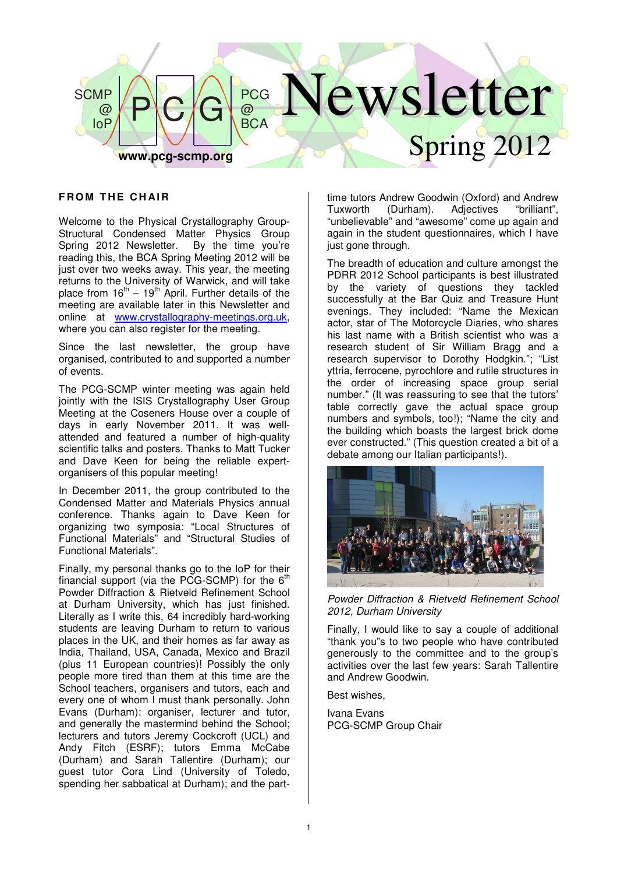

## **FROM THE CHAIR**

Welcome to the Physical Crystallography Group-Structural Condensed Matter Physics Group<br>Spring 2012 Newsletter. By the time you're Spring 2012 Newsletter. reading this, the BCA Spring Meeting 2012 will be just over two weeks away. This year, the meeting returns to the University of Warwick, and will take place from  $16<sup>th</sup> - 19<sup>th</sup>$  April. Further details of the meeting are available later in this Newsletter and online at www.crystallography-meetings.org.uk, where you can also register for the meeting.

Since the last newsletter, the group have organised, contributed to and supported a number of events.

The PCG-SCMP winter meeting was again held jointly with the ISIS Crystallography User Group Meeting at the Coseners House over a couple of days in early November 2011. It was wellattended and featured a number of high-quality scientific talks and posters. Thanks to Matt Tucker and Dave Keen for being the reliable expertorganisers of this popular meeting!

In December 2011, the group contributed to the Condensed Matter and Materials Physics annual conference. Thanks again to Dave Keen for organizing two symposia: "Local Structures of Functional Materials" and "Structural Studies of Functional Materials".

Finally, my personal thanks go to the IoP for their financial support (via the PCG-SCMP) for the  $6<sup>th</sup>$ Powder Diffraction & Rietveld Refinement School at Durham University, which has just finished. Literally as I write this, 64 incredibly hard-working students are leaving Durham to return to various places in the UK, and their homes as far away as India, Thailand, USA, Canada, Mexico and Brazil (plus 11 European countries)! Possibly the only people more tired than them at this time are the School teachers, organisers and tutors, each and every one of whom I must thank personally. John Evans (Durham): organiser, lecturer and tutor, and generally the mastermind behind the School; lecturers and tutors Jeremy Cockcroft (UCL) and Andy Fitch (ESRF); tutors Emma McCabe (Durham) and Sarah Tallentire (Durham); our guest tutor Cora Lind (University of Toledo, spending her sabbatical at Durham); and the parttime tutors Andrew Goodwin (Oxford) and Andrew Tuxworth (Durham). Adjectives "brilliant", "unbelievable" and "awesome" come up again and again in the student questionnaires, which I have just gone through.

The breadth of education and culture amongst the PDRR 2012 School participants is best illustrated by the variety of questions they tackled successfully at the Bar Quiz and Treasure Hunt evenings. They included: "Name the Mexican actor, star of The Motorcycle Diaries, who shares his last name with a British scientist who was a research student of Sir William Bragg and a research supervisor to Dorothy Hodgkin."; "List yttria, ferrocene, pyrochlore and rutile structures in the order of increasing space group serial number." (It was reassuring to see that the tutors' table correctly gave the actual space group numbers and symbols, too!); "Name the city and the building which boasts the largest brick dome ever constructed." (This question created a bit of a debate among our Italian participants!).



Powder Diffraction & Rietveld Refinement School 2012, Durham University

Finally, I would like to say a couple of additional "thank you"s to two people who have contributed generously to the committee and to the group's activities over the last few years: Sarah Tallentire and Andrew Goodwin.

Best wishes,

Ivana Evans PCG-SCMP Group Chair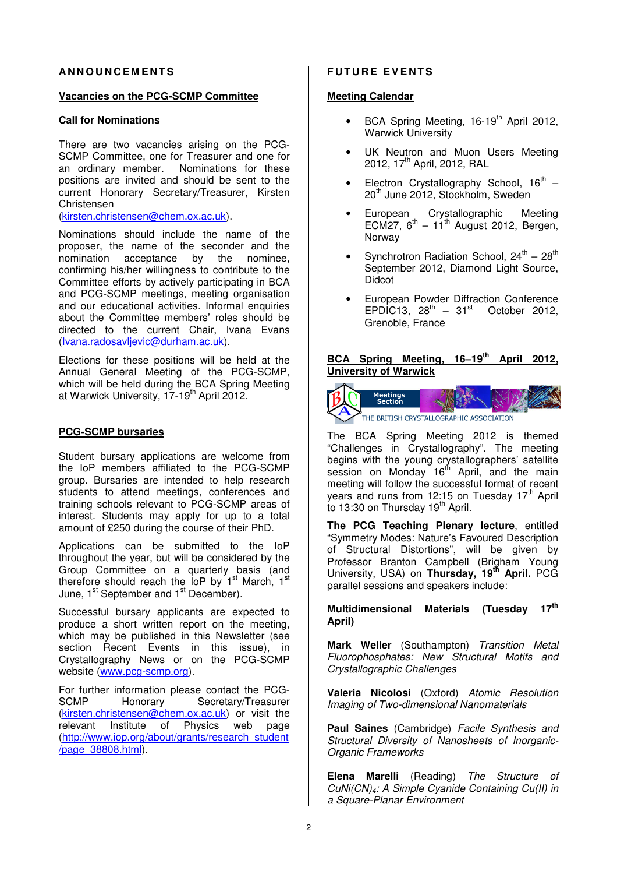## **AN N O U N C E M E N T S**

#### **Vacancies on the PCG-SCMP Committee**

## **Call for Nominations**

There are two vacancies arising on the PCG-SCMP Committee, one for Treasurer and one for an ordinary member. Nominations for these positions are invited and should be sent to the current Honorary Secretary/Treasurer, Kirsten Christensen

(kirsten.christensen@chem.ox.ac.uk).

Nominations should include the name of the proposer, the name of the seconder and the nomination acceptance by the nominee. nomination acceptance by the confirming his/her willingness to contribute to the Committee efforts by actively participating in BCA and PCG-SCMP meetings, meeting organisation and our educational activities. Informal enquiries about the Committee members' roles should be directed to the current Chair, Ivana Evans (Ivana.radosavljevic@durham.ac.uk).

Elections for these positions will be held at the Annual General Meeting of the PCG-SCMP, which will be held during the BCA Spring Meeting at Warwick University, 17-19th April 2012.

#### **PCG-SCMP bursaries**

Student bursary applications are welcome from the IoP members affiliated to the PCG-SCMP group. Bursaries are intended to help research students to attend meetings, conferences and training schools relevant to PCG-SCMP areas of interest. Students may apply for up to a total amount of £250 during the course of their PhD.

Applications can be submitted to the IoP throughout the year, but will be considered by the Group Committee on a quarterly basis (and therefore should reach the IoP by 1<sup>st</sup> March, 1<sup>st</sup> June, 1<sup>st</sup> September and 1<sup>st</sup> December).

Successful bursary applicants are expected to produce a short written report on the meeting, which may be published in this Newsletter (see section Recent Events in this issue), in Crystallography News or on the PCG-SCMP website (www.pcg-scmp.org).

For further information please contact the PCG-<br>SCMP Honorary Secretary/Treasurer Honorary Secretary/Treasurer (kirsten.christensen@chem.ox.ac.uk) or visit the relevant Institute of Physics web page (http://www.iop.org/about/grants/research\_student /page\_38808.html).

### **FUTURE EVENTS**

#### **Meeting Calendar**

- BCA Spring Meeting, 16-19<sup>th</sup> April 2012, Warwick University
- UK Neutron and Muon Users Meeting 2012, 17<sup>th</sup> April, 2012, RAL
- Electron Crystallography School,  $16^{th}$  20<sup>th</sup> June 2012, Stockholm, Sweden
- European Crystallographic Meeting ECM27,  $6^{th}$  – 11<sup>th</sup> August 2012, Bergen, Norway
- Synchrotron Radiation School,  $24^{\text{th}} 28^{\text{th}}$ September 2012, Diamond Light Source, **Didcot**
- European Powder Diffraction Conference EPDIC13,  $28^{th}$  –  $31^{st}$  October 2012. Grenoble, France

## **BCA Spring Meeting, 16–19th April 2012, University of Warwick**



The BCA Spring Meeting 2012 is themed "Challenges in Crystallography". The meeting begins with the young crystallographers' satellite session on Monday 16<sup>th</sup> April, and the main meeting will follow the successful format of recent vears and runs from 12:15 on Tuesday  $17<sup>th</sup>$  April to 13:30 on Thursday 19th April.

**The PCG Teaching Plenary lecture**, entitled "Symmetry Modes: Nature's Favoured Description of Structural Distortions", will be given by Professor Branton Campbell (Brigham Young University, USA) on **Thursday, 19th April.** PCG parallel sessions and speakers include:

**Multidimensional Materials (Tuesday 17th April)** 

**Mark Weller** (Southampton) Transition Metal Fluorophosphates: New Structural Motifs and Crystallographic Challenges

**Valeria Nicolosi** (Oxford) Atomic Resolution Imaging of Two-dimensional Nanomaterials

**Paul Saines** (Cambridge) Facile Synthesis and Structural Diversity of Nanosheets of Inorganic-Organic Frameworks

**Elena Marelli** (Reading) The Structure of CuNi(CN)4: A Simple Cyanide Containing Cu(II) in a Square-Planar Environment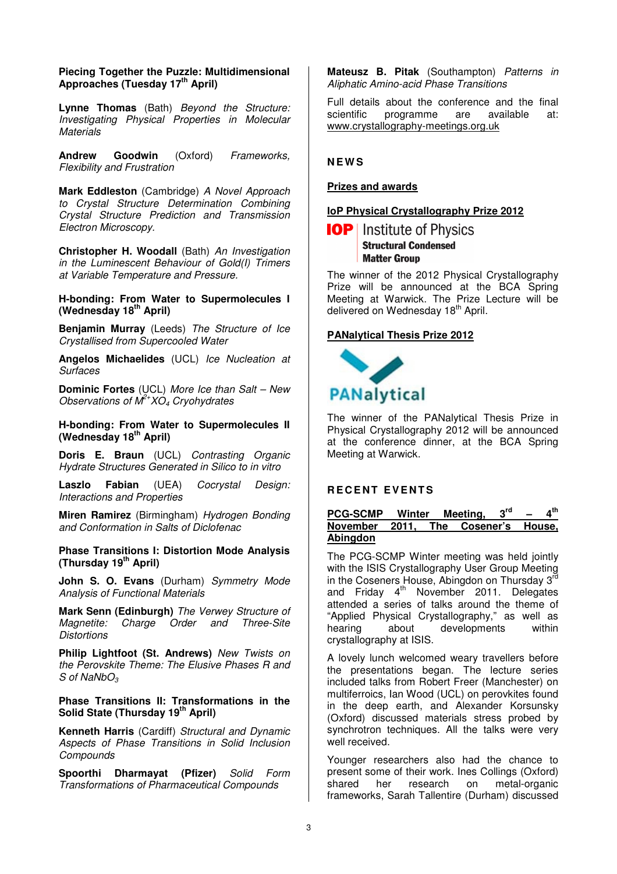## **Piecing Together the Puzzle: Multidimensional Approaches (Tuesday 17th April)**

**Lynne Thomas** (Bath) Beyond the Structure: Investigating Physical Properties in Molecular **Materials** 

**Andrew Goodwin** (Oxford) Frameworks, Flexibility and Frustration

**Mark Eddleston** (Cambridge) A Novel Approach to Crystal Structure Determination Combining Crystal Structure Prediction and Transmission Electron Microscopy.

**Christopher H. Woodall** (Bath) An Investigation in the Luminescent Behaviour of Gold(I) Trimers at Variable Temperature and Pressure.

**H-bonding: From Water to Supermolecules I (Wednesday 18th April)** 

**Benjamin Murray** (Leeds) The Structure of Ice Crystallised from Supercooled Water

**Angelos Michaelides** (UCL) Ice Nucleation at Surfaces

**Dominic Fortes** (UCL) More Ice than Salt – New Observations of  $M^2$ <sup>+</sup>XO<sub>4</sub> Cryohydrates

**H-bonding: From Water to Supermolecules II (Wednesday 18th April)** 

**Doris E. Braun** (UCL) Contrasting Organic Hydrate Structures Generated in Silico to in vitro

**Laszlo Fabian** (UEA) Cocrystal Design: Interactions and Properties

**Miren Ramirez** (Birmingham) Hydrogen Bonding and Conformation in Salts of Diclofenac

**Phase Transitions I: Distortion Mode Analysis (Thursday 19th April)** 

**John S. O. Evans** (Durham) Symmetry Mode Analysis of Functional Materials

**Mark Senn (Edinburgh)** The Verwey Structure of Magnetite: Charge Order and Three-Site **Distortions** 

**Philip Lightfoot (St. Andrews)** New Twists on the Perovskite Theme: The Elusive Phases R and  $S$  of NaNbO<sub>3</sub>

## **Phase Transitions II: Transformations in the Solid State (Thursday 19th April)**

**Kenneth Harris** (Cardiff) Structural and Dynamic Aspects of Phase Transitions in Solid Inclusion **Compounds** 

**Spoorthi Dharmayat (Pfizer)** Solid Form Transformations of Pharmaceutical Compounds

**Mateusz B. Pitak** (Southampton) Patterns in Aliphatic Amino-acid Phase Transitions

Full details about the conference and the final<br>scientific programme are available at: scientific programme are available at: www.crystallography-meetings.org.uk

**N E W S** 

## **Prizes and awards**

## **IoP Physical Crystallography Prize 2012**

## **IOP** | Institute of Physics **Structural Condensed Matter Group**

The winner of the 2012 Physical Crystallography Prize will be announced at the BCA Spring Meeting at Warwick. The Prize Lecture will be delivered on Wednesday 18<sup>th</sup> April.

### **PANalytical Thesis Prize 2012**



The winner of the PANalytical Thesis Prize in Physical Crystallography 2012 will be announced at the conference dinner, at the BCA Spring Meeting at Warwick.

#### **RECENT EVENTS**

#### **PCG-SCMP Winter Meeting, 3rd – 4th**  $\mathbf{A}^{\text{th}}$ **November 2011, The Cosener's House, Abingdon**

The PCG-SCMP Winter meeting was held jointly with the ISIS Crystallography User Group Meeting in the Coseners House, Abingdon on Thursday 3<sup>rd</sup> and Friday 4<sup>th</sup> November 2011. Delegates attended a series of talks around the theme of "Applied Physical Crystallography," as well as hearing about developments within crystallography at ISIS.

A lovely lunch welcomed weary travellers before the presentations began. The lecture series included talks from Robert Freer (Manchester) on multiferroics, Ian Wood (UCL) on perovkites found in the deep earth, and Alexander Korsunsky (Oxford) discussed materials stress probed by synchrotron techniques. All the talks were very well received.

Younger researchers also had the chance to present some of their work. Ines Collings (Oxford) shared her research on metal-organic frameworks, Sarah Tallentire (Durham) discussed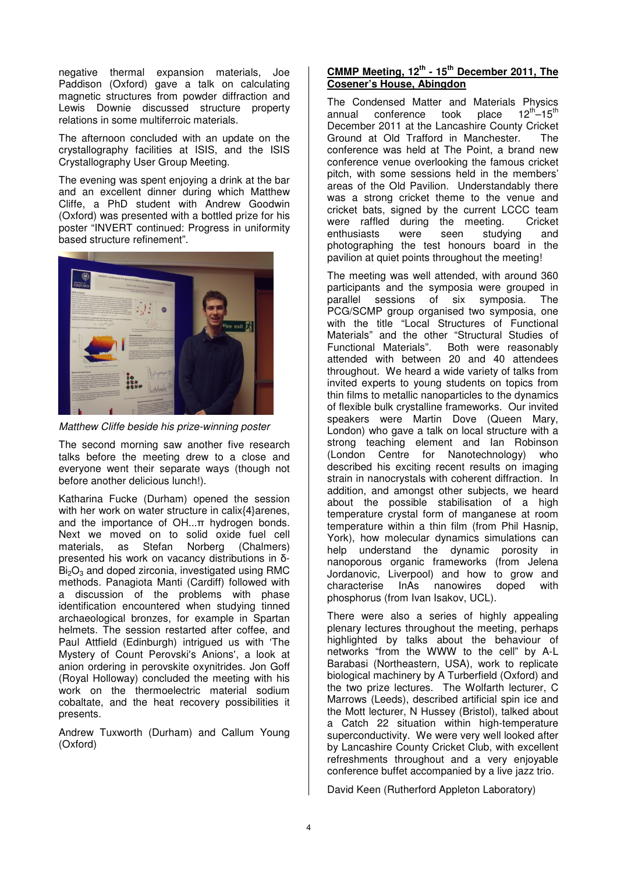negative thermal expansion materials, Joe Paddison (Oxford) gave a talk on calculating magnetic structures from powder diffraction and Lewis Downie discussed structure property relations in some multiferroic materials.

The afternoon concluded with an update on the crystallography facilities at ISIS, and the ISIS Crystallography User Group Meeting.

The evening was spent enjoying a drink at the bar and an excellent dinner during which Matthew Cliffe, a PhD student with Andrew Goodwin (Oxford) was presented with a bottled prize for his poster "INVERT continued: Progress in uniformity based structure refinement".



Matthew Cliffe beside his prize-winning poster

The second morning saw another five research talks before the meeting drew to a close and everyone went their separate ways (though not before another delicious lunch!).

Katharina Fucke (Durham) opened the session with her work on water structure in calix{4}arenes, and the importance of OH...π hydrogen bonds. Next we moved on to solid oxide fuel cell materials, as Stefan Norberg (Chalmers) presented his work on vacancy distributions in δ- $Bi<sub>2</sub>O<sub>3</sub>$  and doped zirconia, investigated using RMC methods. Panagiota Manti (Cardiff) followed with a discussion of the problems with phase identification encountered when studying tinned archaeological bronzes, for example in Spartan helmets. The session restarted after coffee, and Paul Attfield (Edinburgh) intrigued us with ʻThe Mystery of Count Perovski's Anions', a look at anion ordering in perovskite oxynitrides. Jon Goff (Royal Holloway) concluded the meeting with his work on the thermoelectric material sodium cobaltate, and the heat recovery possibilities it presents.

Andrew Tuxworth (Durham) and Callum Young (Oxford)

## **CMMP Meeting, 12th - 15th December 2011, The Cosener's House, Abingdon**

The Condensed Matter and Materials Physics<br>annual conference took place  $12^{th}-15^{th}$ annual conference took  $12^{th} - 15^{th}$ December 2011 at the Lancashire County Cricket Ground at Old Trafford in Manchester. The conference was held at The Point, a brand new conference venue overlooking the famous cricket pitch, with some sessions held in the members' areas of the Old Pavilion. Understandably there was a strong cricket theme to the venue and cricket bats, signed by the current LCCC team were raffled during the meeting. Cricket enthusiasts were seen studying and photographing the test honours board in the pavilion at quiet points throughout the meeting!

The meeting was well attended, with around 360 participants and the symposia were grouped in parallel sessions of six symposia. The PCG/SCMP group organised two symposia, one with the title "Local Structures of Functional Materials" and the other "Structural Studies of<br>Functional Materials". Both were reasonably Both were reasonably. attended with between 20 and 40 attendees throughout. We heard a wide variety of talks from invited experts to young students on topics from thin films to metallic nanoparticles to the dynamics of flexible bulk crystalline frameworks. Our invited speakers were Martin Dove (Queen Mary, London) who gave a talk on local structure with a strong teaching element and Ian Robinson (London Centre for Nanotechnology) who described his exciting recent results on imaging strain in nanocrystals with coherent diffraction. In addition, and amongst other subjects, we heard about the possible stabilisation of a high temperature crystal form of manganese at room temperature within a thin film (from Phil Hasnip, York), how molecular dynamics simulations can help understand the dynamic porosity in nanoporous organic frameworks (from Jelena Jordanovic, Liverpool) and how to grow and characterise InAs nanowires doped with phosphorus (from Ivan Isakov, UCL).

There were also a series of highly appealing plenary lectures throughout the meeting, perhaps highlighted by talks about the behaviour of networks "from the WWW to the cell" by A-L Barabasi (Northeastern, USA), work to replicate biological machinery by A Turberfield (Oxford) and the two prize lectures. The Wolfarth lecturer, C Marrows (Leeds), described artificial spin ice and the Mott lecturer, N Hussey (Bristol), talked about a Catch 22 situation within high-temperature superconductivity. We were very well looked after by Lancashire County Cricket Club, with excellent refreshments throughout and a very enjoyable conference buffet accompanied by a live jazz trio.

David Keen (Rutherford Appleton Laboratory)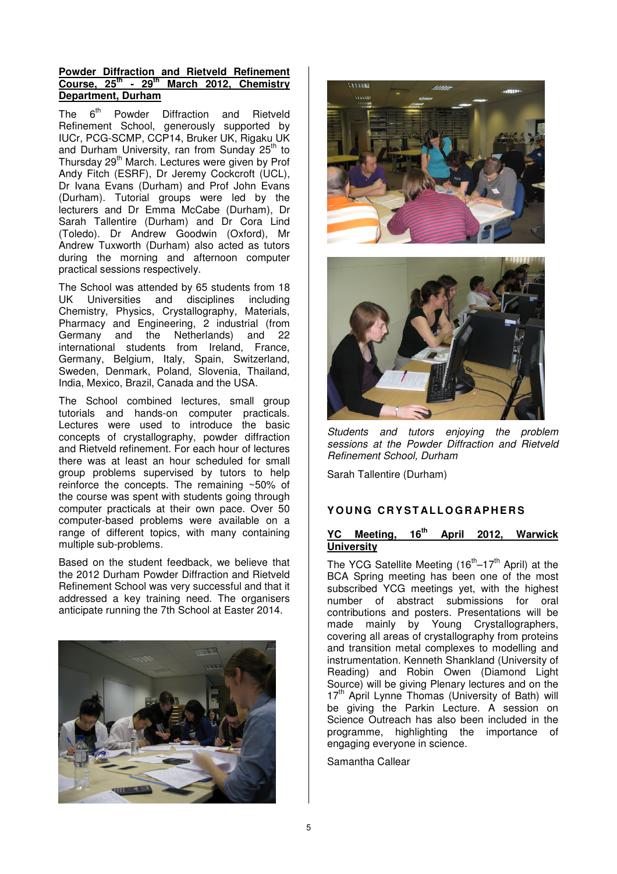## **Powder Diffraction and Rietveld Refinement Course, 25th - 29th March 2012, Chemistry Department, Durham**

The 6<sup>th</sup> Powder Diffraction and Rietveld Refinement School, generously supported by IUCr, PCG-SCMP, CCP14, Bruker UK, Rigaku UK and Durham University, ran from Sunday 25<sup>th</sup> to Thursday 29<sup>th</sup> March. Lectures were given by Prof Andy Fitch (ESRF), Dr Jeremy Cockcroft (UCL), Dr Ivana Evans (Durham) and Prof John Evans (Durham). Tutorial groups were led by the lecturers and Dr Emma McCabe (Durham), Dr Sarah Tallentire (Durham) and Dr Cora Lind (Toledo). Dr Andrew Goodwin (Oxford), Mr Andrew Tuxworth (Durham) also acted as tutors during the morning and afternoon computer practical sessions respectively.

The School was attended by 65 students from 18 UK Universities and disciplines including Chemistry, Physics, Crystallography, Materials, Pharmacy and Engineering, 2 industrial (from Germany and the Netherlands) and 22 international students from Ireland, France, Germany, Belgium, Italy, Spain, Switzerland, Sweden, Denmark, Poland, Slovenia, Thailand, India, Mexico, Brazil, Canada and the USA.

The School combined lectures, small group tutorials and hands-on computer practicals. Lectures were used to introduce the basic concepts of crystallography, powder diffraction and Rietveld refinement. For each hour of lectures there was at least an hour scheduled for small group problems supervised by tutors to help reinforce the concepts. The remaining ~50% of the course was spent with students going through computer practicals at their own pace. Over 50 computer-based problems were available on a range of different topics, with many containing multiple sub-problems.

Based on the student feedback, we believe that the 2012 Durham Powder Diffraction and Rietveld Refinement School was very successful and that it addressed a key training need. The organisers anticipate running the 7th School at Easter 2014.







Students and tutors enjoying the problem sessions at the Powder Diffraction and Rietveld Refinement School, Durham

Sarah Tallentire (Durham)

## **Y O U N G C R Y S T AL L O G R AP H E R S**

## **YC Meeting, 16th April 2012, Warwick University**

The YCG Satellite Meeting  $(16<sup>th</sup>-17<sup>th</sup>$  April) at the BCA Spring meeting has been one of the most subscribed YCG meetings yet, with the highest number of abstract submissions for oral contributions and posters. Presentations will be made mainly by Young Crystallographers, covering all areas of crystallography from proteins and transition metal complexes to modelling and instrumentation. Kenneth Shankland (University of Reading) and Robin Owen (Diamond Light Source) will be giving Plenary lectures and on the 17<sup>th</sup> April Lynne Thomas (University of Bath) will be giving the Parkin Lecture. A session on Science Outreach has also been included in the programme, highlighting the importance of engaging everyone in science.

Samantha Callear